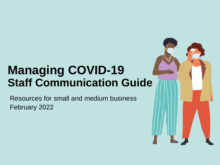## **Managing COVID-19 Staff Communication Guide**

Resources for small and medium business February 2022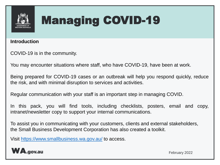

## **Introduction**

COVID-19 is in the community.

You may encounter situations where staff, who have COVID-19, have been at work.

Being prepared for COVID-19 cases or an outbreak will help you respond quickly, reduce the risk, and with minimal disruption to services and activities.

Regular communication with your staff is an important step in managing COVID.

In this pack, you will find tools, including checklists, posters, email and copy, intranet/newsletter copy to support your internal communications.

To assist you in communicating with your customers, clients and external stakeholders, the Small Business Development Corporation has also created a toolkit.

Visit <https://www.smallbusiness.wa.gov.au/> to access.

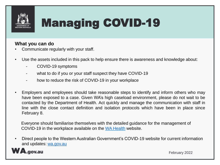

## **What you can do**

- Communicate regularly with your staff.
- Use the assets included in this pack to help ensure there is awareness and knowledge about:
	- COVID-19 symptoms
	- what to do if you or your staff suspect they have COVID-19
	- how to reduce the risk of COVID-19 in your workplace
- Employers and employees should take reasonable steps to identify and inform others who may have been exposed to a case. Given WA's high caseload environment, please do not wait to be contacted by the Department of Health. Act quickly and manage the communication with staff in line with the close contact definition and isolation protocols which have been in place since February 8.

Everyone should familiarise themselves with the detailed guidance for the management of COVID-19 in the workplace available on the [WA Health](https://aus01.safelinks.protection.outlook.com/?url=https%3A%2F%2Fww2.health.wa.gov.au%2FArticles%2FA_E%2FCoronavirus%2FCOVID19-information-for-business-and-industry%2FTTIQ-Plan&data=04%7C01%7CIlka.Novak%40dpc.wa.gov.au%7C760f40331b9e423e0d9e08d9f73be993%7Cd48144b5571f4b689721e41bc0071e17%7C0%7C0%7C637812659094589141%7CUnknown%7CTWFpbGZsb3d8eyJWIjoiMC4wLjAwMDAiLCJQIjoiV2luMzIiLCJBTiI6Ik1haWwiLCJXVCI6Mn0%3D%7C3000&sdata=0i1MrMf%2BiPFSVUJ63ROdPjg62fRWUA5%2BXwdOzu11Czo%3D&reserved=0) website.

• Direct people to the Western Australian Government's COVID-19 website for current information and updates: [wa.gov.au](https://www.wa.gov.au/government/covid-19-coronavirus/covid-19-coronavirus-managing-covid-19)

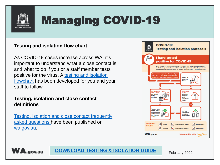

## **Testing and isolation flow chart**

As COVID-19 cases increase across WA, it's important to understand what a close contact is and what to do if you or a staff member tests positive for the virus. A testing and isolation flowchart has been developed for you and your staff to follow.

#### **Testing, isolation and close contact** definitions

Testing, isolation and close contact frequently asked questions have been published on wa.gov.au.





**DOWNLOAD TESTING & ISOLATION GUIDE**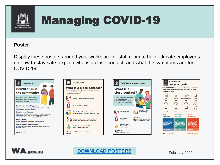

## **Poster**

Display these posters around your workplace or staff room to help educate employees on how to stay safe, explain who is a close contact, and what the symptoms are for  $COVID-19$ 









**DOWNLOAD POSTERS**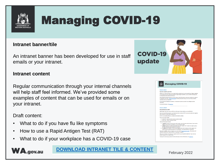

#### **Intranet banner/tile**

An intranet banner has been developed for use in staff emails or your intranet.

#### **Intranet content**

Regular communication through your internal channels will help staff feel informed. We've provided some examples of content that can be used for emails or on your intranet.

#### Draft content:

- What to do if you have flu like symptoms
- How to use a Rapid Antigen Test (RAT)
- What to do if your workplace has a COVID-19 case

**WA.gov.au DOWNLOAD [INTRANET TILE & CONTENT](https://www.wa.gov.au/system/files/2022-02/staff-communication-guide-business-toolkit-intranet-content.zip)**



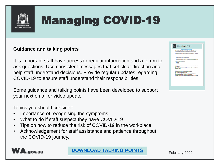

### **Guidance and talking points**

It is important staff have access to regular information and a forum to ask questions. Use consistent messages that set clear direction and help staff understand decisions. Provide regular updates regarding COVID-19 to ensure staff understand their responsibilities.

Some guidance and talking points have been developed to support your next email or video update.

Topics you should consider:

- Importance of recognising the symptoms
- What to do if staff suspect they have COVID-19
- Tips on how to reduce the risk of COVID-19 in the workplace
- Acknowledgement for staff assistance and patience throughout the COVID-19 journey.





**DOWNLOAD [TALKING POINTS](https://www.wa.gov.au/system/files/2022-02/Staff-Communication-Guide-Business-toolkit-guidance-and-talking-points.pdf)**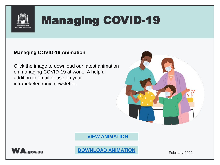

## **Managing COVID-19 Animation**

Click the image to download our latest animation on managing COVID-19 at work. A helpful addition to email or use on your intranet/electronic newsletter.



**[VIEW ANIMATION](https://vimeo.com/680779224)**



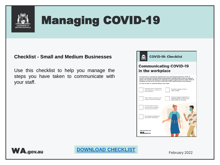

#### **Checklist - Small and Medium Businesses**

Use this checklist to help you manage the steps you have taken to communicate with your staff.